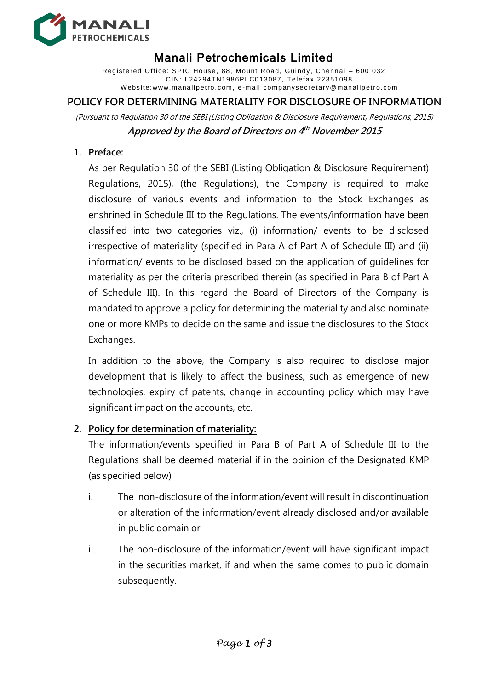

# Manali Petrochemicals Limited

Registered Office: SPIC House, 88, Mount Road, Guindy, Chennai – 600 032 CIN: L24294TN1986PLC013087, Telef ax 22351 098 W ebsite:www.manalipetro. com, e -mail companysecretary@manalipetro.com

## **POLICY FOR DETERMINING MATERIALITY FOR DISCLOSURE OF INFORMATION**

(Pursuant to Regulation 30 of the SEBI (Listing Obligation & Disclosure Requirement) Regulations, 2015) **Approved by the Board of Directors on 4 th November 2015**

## **1. Preface:**

As per Regulation 30 of the SEBI (Listing Obligation & Disclosure Requirement) Regulations, 2015), (the Regulations), the Company is required to make disclosure of various events and information to the Stock Exchanges as enshrined in Schedule III to the Regulations. The events/information have been classified into two categories viz., (i) information/ events to be disclosed irrespective of materiality (specified in Para A of Part A of Schedule III) and (ii) information/ events to be disclosed based on the application of guidelines for materiality as per the criteria prescribed therein (as specified in Para B of Part A of Schedule III). In this regard the Board of Directors of the Company is mandated to approve a policy for determining the materiality and also nominate one or more KMPs to decide on the same and issue the disclosures to the Stock Exchanges.

In addition to the above, the Company is also required to disclose major development that is likely to affect the business, such as emergence of new technologies, expiry of patents, change in accounting policy which may have significant impact on the accounts, etc.

### **2. Policy for determination of materiality:**

The information/events specified in Para B of Part A of Schedule III to the Regulations shall be deemed material if in the opinion of the Designated KMP (as specified below)

- i. The non-disclosure of the information/event will result in discontinuation or alteration of the information/event already disclosed and/or available in public domain or
- ii. The non-disclosure of the information/event will have significant impact in the securities market, if and when the same comes to public domain subsequently.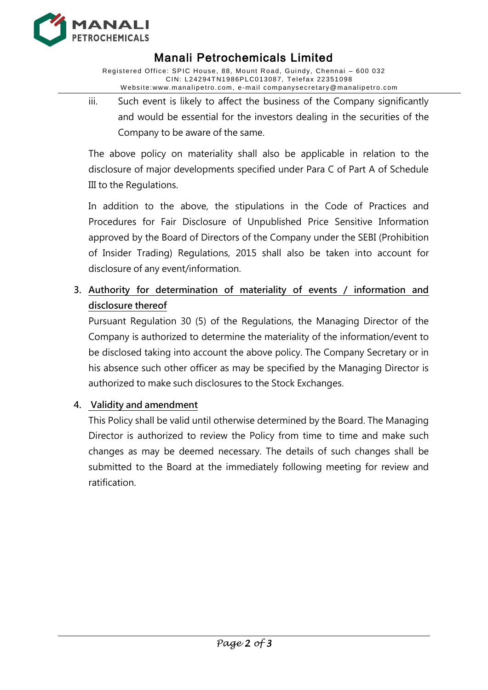

## Manali Petrochemicals Limited

Registered Office: SPIC House, 88, Mount Road, Guindy, Chennai – 600 032 CIN: L24294TN1986PLC013087, Telef ax 22351 098 W ebsite:www.manalipetro. com, e -mail companysecretary@manalipetro.com

iii. Such event is likely to affect the business of the Company significantly and would be essential for the investors dealing in the securities of the Company to be aware of the same.

The above policy on materiality shall also be applicable in relation to the disclosure of major developments specified under Para C of Part A of Schedule III to the Regulations.

In addition to the above, the stipulations in the Code of Practices and Procedures for Fair Disclosure of Unpublished Price Sensitive Information approved by the Board of Directors of the Company under the SEBI (Prohibition of Insider Trading) Regulations, 2015 shall also be taken into account for disclosure of any event/information.

**3. Authority for determination of materiality of events / information and disclosure thereof**

Pursuant Regulation 30 (5) of the Regulations, the Managing Director of the Company is authorized to determine the materiality of the information/event to be disclosed taking into account the above policy. The Company Secretary or in his absence such other officer as may be specified by the Managing Director is authorized to make such disclosures to the Stock Exchanges.

### **4. Validity and amendment**

This Policy shall be valid until otherwise determined by the Board. The Managing Director is authorized to review the Policy from time to time and make such changes as may be deemed necessary. The details of such changes shall be submitted to the Board at the immediately following meeting for review and ratification.